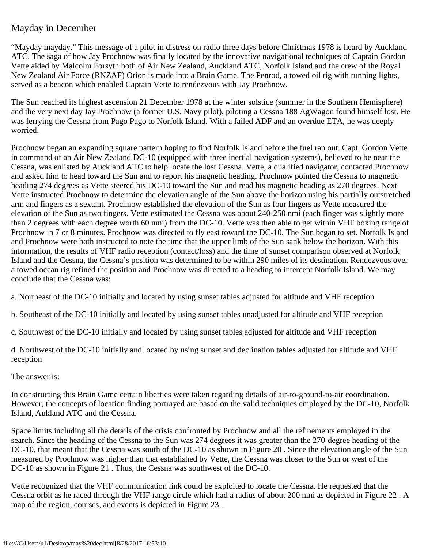## Mayday in December

"Mayday mayday." This message of a pilot in distress on radio three days before Christmas 1978 is heard by Auckland ATC. The saga of how Jay Prochnow was finally located by the innovative navigational techniques of Captain Gordon Vette aided by Malcolm Forsyth both of Air New Zealand, Auckland ATC, Norfolk Island and the crew of the Royal New Zealand Air Force (RNZAF) Orion is made into a Brain Game. The Penrod, a towed oil rig with running lights, served as a beacon which enabled Captain Vette to rendezvous with Jay Prochnow.

The Sun reached its highest ascension 21 December 1978 at the winter solstice (summer in the Southern Hemisphere) and the very next day Jay Prochnow (a former U.S. Navy pilot), piloting a Cessna 188 AgWagon found himself lost. He was ferrying the Cessna from Pago Pago to Norfolk Island. With a failed ADF and an overdue ETA, he was deeply worried.

Prochnow began an expanding square pattern hoping to find Norfolk Island before the fuel ran out. Capt. Gordon Vette in command of an Air New Zealand DC-10 (equipped with three inertial navigation systems), believed to be near the Cessna, was enlisted by Auckland ATC to help locate the lost Cessna. Vette, a qualified navigator, contacted Prochnow and asked him to head toward the Sun and to report his magnetic heading. Prochnow pointed the Cessna to magnetic heading 274 degrees as Vette steered his DC-10 toward the Sun and read his magnetic heading as 270 degrees. Next Vette instructed Prochnow to determine the elevation angle of the Sun above the horizon using his partially outstretched arm and fingers as a sextant. Prochnow established the elevation of the Sun as four fingers as Vette measured the elevation of the Sun as two fingers. Vette estimated the Cessna was about 240-250 nmi (each finger was slightly more than 2 degrees with each degree worth 60 nmi) from the DC-10. Vette was then able to get within VHF boxing range of Prochnow in 7 or 8 minutes. Prochnow was directed to fly east toward the DC-10. The Sun began to set. Norfolk Island and Prochnow were both instructed to note the time that the upper limb of the Sun sank below the horizon. With this information, the results of VHF radio reception (contact/loss) and the time of sunset comparison observed at Norfolk Island and the Cessna, the Cessna's position was determined to be within 290 miles of its destination. Rendezvous over a towed ocean rig refined the position and Prochnow was directed to a heading to intercept Norfolk Island. We may conclude that the Cessna was:

a. Northeast of the DC-10 initially and located by using sunset tables adjusted for altitude and VHF reception

- b. Southeast of the DC-10 initially and located by using sunset tables unadjusted for altitude and VHF reception
- c. Southwest of the DC-10 initially and located by using sunset tables adjusted for altitude and VHF reception

d. Northwest of the DC-10 initially and located by using sunset and declination tables adjusted for altitude and VHF reception

## The answer is:

In constructing this Brain Game certain liberties were taken regarding details of air-to-ground-to-air coordination. However, the concepts of location finding portrayed are based on the valid techniques employed by the DC-10, Norfolk Island, Aukland ATC and the Cessna.

Space limits including all the details of the crisis confronted by Prochnow and all the refinements employed in the search. Since the heading of the Cessna to the Sun was 274 degrees it was greater than the 270-degree heading of the DC-10, that meant that the Cessna was south of the DC-10 as shown in Figure 20. Since the elevation angle of the Sun measured by Prochnow was higher than that established by Vette, the Cessna was closer to the Sun or west of the DC-10 as shown in Figure 21. Thus, the Cessna was southwest of the DC-10.

Vette recognized that the VHF communication link could be exploited to locate the Cessna. He requested that the Cessna orbit as he raced through the VHF range circle which had a radius of about 200 nmi as depicted in Figure 22 . A map of the region, courses, and events is depicted in Figure 23 .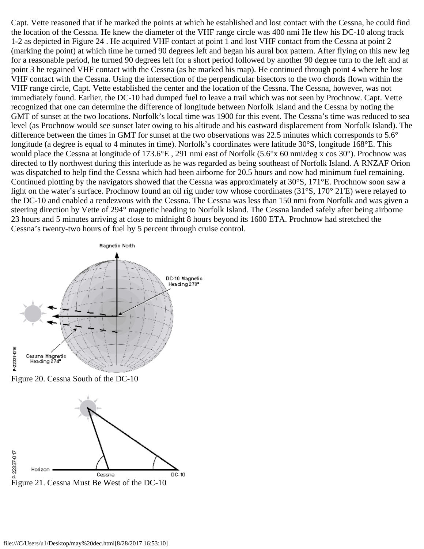Capt. Vette reasoned that if he marked the points at which he established and lost contact with the Cessna, he could find the location of the Cessna. He knew the diameter of the VHF range circle was 400 nmi He flew his DC-10 along track 1-2 as depicted in Figure 24 . He acquired VHF contact at point 1 and lost VHF contact from the Cessna at point 2 (marking the point) at which time he turned 90 degrees left and began his aural box pattern. After flying on this new leg for a reasonable period, he turned 90 degrees left for a short period followed by another 90 degree turn to the left and at point 3 he regained VHF contact with the Cessna (as he marked his map). He continued through point 4 where he lost VHF contact with the Cessna. Using the intersection of the perpendicular bisectors to the two chords flown within the VHF range circle, Capt. Vette established the center and the location of the Cessna. The Cessna, however, was not immediately found. Earlier, the DC-10 had dumped fuel to leave a trail which was not seen by Prochnow. Capt. Vette recognized that one can determine the difference of longitude between Norfolk Island and the Cessna by noting the GMT of sunset at the two locations. Norfolk's local time was 1900 for this event. The Cessna's time was reduced to sea level (as Prochnow would see sunset later owing to his altitude and his eastward displacement from Norfolk Island). The difference between the times in GMT for sunset at the two observations was 22.5 minutes which corresponds to 5.6° longitude (a degree is equal to 4 minutes in time). Norfolk's coordinates were latitude 30°S, longitude 168°E. This would place the Cessna at longitude of 173.6°E , 291 nmi east of Norfolk (5.6°x 60 nmi/deg x cos 30°). Prochnow was directed to fly northwest during this interlude as he was regarded as being southeast of Norfolk Island. A RNZAF Orion was dispatched to help find the Cessna which had been airborne for 20.5 hours and now had minimum fuel remaining. Continued plotting by the navigators showed that the Cessna was approximately at 30°S, 171°E. Prochnow soon saw a light on the water's surface. Prochnow found an oil rig under tow whose coordinates (31°S, 170° 21'E) were relayed to the DC-10 and enabled a rendezvous with the Cessna. The Cessna was less than 150 nmi from Norfolk and was given a steering direction by Vette of 294° magnetic heading to Norfolk Island. The Cessna landed safely after being airborne 23 hours and 5 minutes arriving at close to midnight 8 hours beyond its 1600 ETA. Prochnow had stretched the Cessna's twenty-two hours of fuel by 5 percent through cruise control.



Figure 20. Cessna South of the DC-10

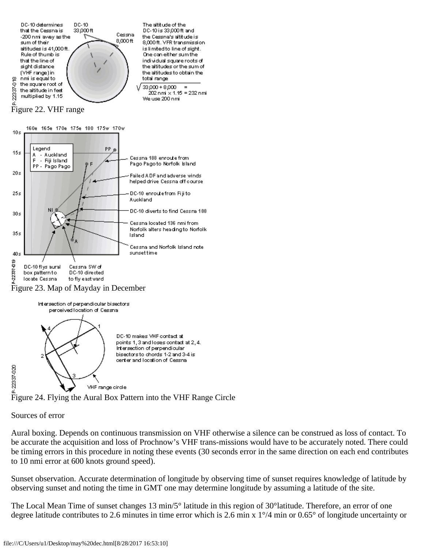



## Sources of error

Aural boxing. Depends on continuous transmission on VHF otherwise a silence can be construed as loss of contact. To be accurate the acquisition and loss of Prochnow's VHF trans-missions would have to be accurately noted. There could be timing errors in this procedure in noting these events (30 seconds error in the same direction on each end contributes to 10 nmi error at 600 knots ground speed).

Sunset observation. Accurate determination of longitude by observing time of sunset requires knowledge of latitude by observing sunset and noting the time in GMT one may determine longitude by assuming a latitude of the site.

The Local Mean Time of sunset changes 13 min/5° latitude in this region of 30°latitude. Therefore, an error of one degree latitude contributes to 2.6 minutes in time error which is 2.6 min x 1°/4 min or 0.65° of longitude uncertainty or